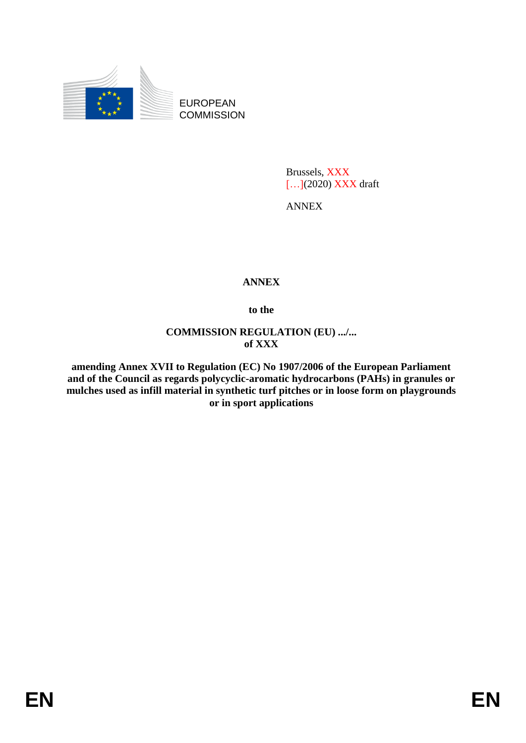

EUROPEAN **COMMISSION** 

> Brussels, XXX [...](2020) XXX draft

ANNEX

## **ANNEX**

**to the**

**COMMISSION REGULATION (EU) .../... of XXX**

**amending Annex XVII to Regulation (EC) No 1907/2006 of the European Parliament and of the Council as regards polycyclic-aromatic hydrocarbons (PAHs) in granules or mulches used as infill material in synthetic turf pitches or in loose form on playgrounds or in sport applications**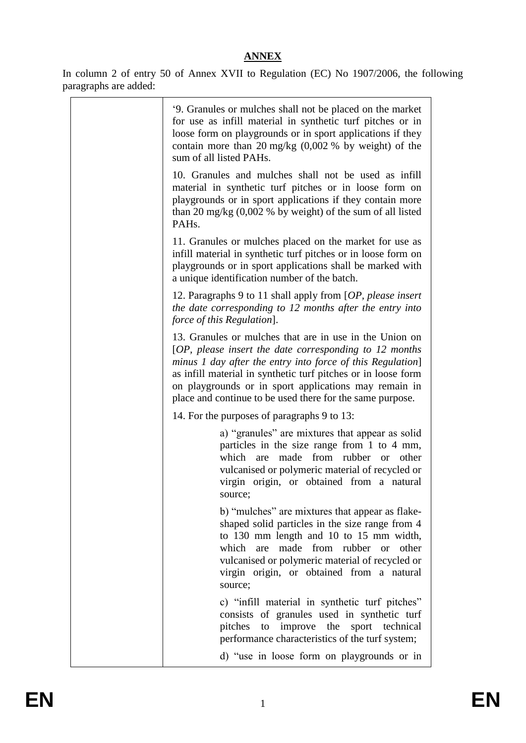## **ANNEX**

In column 2 of entry 50 of Annex XVII to Regulation (EC) No 1907/2006, the following paragraphs are added:

| '9. Granules or mulches shall not be placed on the market<br>for use as infill material in synthetic turf pitches or in<br>loose form on playgrounds or in sport applications if they<br>contain more than 20 mg/kg $(0,002 \%$ by weight) of the<br>sum of all listed PAHs.                                                                                             |
|--------------------------------------------------------------------------------------------------------------------------------------------------------------------------------------------------------------------------------------------------------------------------------------------------------------------------------------------------------------------------|
| 10. Granules and mulches shall not be used as infill<br>material in synthetic turf pitches or in loose form on<br>playgrounds or in sport applications if they contain more<br>than 20 mg/kg $(0.002 \%$ by weight) of the sum of all listed<br>PAH <sub>s</sub> .                                                                                                       |
| 11. Granules or mulches placed on the market for use as<br>infill material in synthetic turf pitches or in loose form on<br>playgrounds or in sport applications shall be marked with<br>a unique identification number of the batch.                                                                                                                                    |
| 12. Paragraphs 9 to 11 shall apply from [OP, please insert<br>the date corresponding to 12 months after the entry into<br>force of this Regulation].                                                                                                                                                                                                                     |
| 13. Granules or mulches that are in use in the Union on<br>$[OP, please insert the date corresponding to 12 months$<br>minus 1 day after the entry into force of this Regulation]<br>as infill material in synthetic turf pitches or in loose form<br>on playgrounds or in sport applications may remain in<br>place and continue to be used there for the same purpose. |
| 14. For the purposes of paragraphs 9 to 13:                                                                                                                                                                                                                                                                                                                              |
| a) "granules" are mixtures that appear as solid<br>particles in the size range from 1 to 4 mm,<br>rubber<br>which<br>made<br>from<br>or other<br>are<br>vulcanised or polymeric material of recycled or<br>virgin origin, or obtained from a natural<br>source;                                                                                                          |
| b) "mulches" are mixtures that appear as flake-<br>shaped solid particles in the size range from 4<br>to 130 mm length and 10 to 15 mm width,<br>which<br>are made from rubber or<br>other<br>vulcanised or polymeric material of recycled or<br>virgin origin, or obtained from a natural<br>source;                                                                    |
| c) "infill material in synthetic turf pitches"<br>consists of granules used in synthetic turf<br>pitches<br>sport technical<br>improve the<br>to<br>performance characteristics of the turf system;                                                                                                                                                                      |
| d) "use in loose form on playgrounds or in                                                                                                                                                                                                                                                                                                                               |